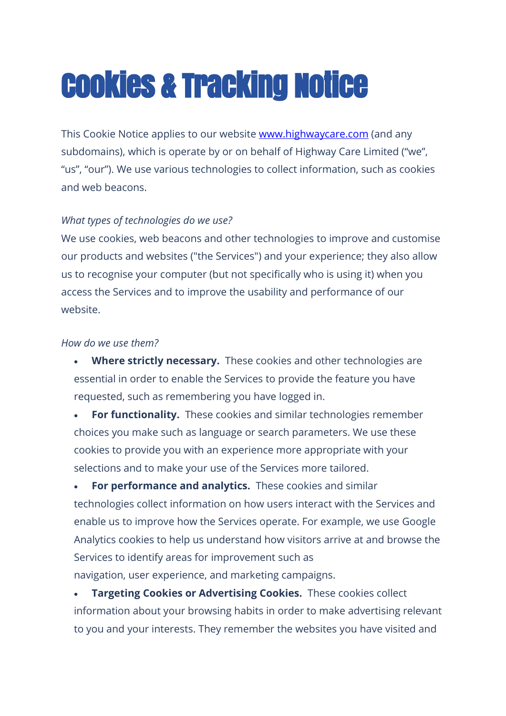# Cookies & Tracking Notice

This Cookie Notice applies to our website **www.highwaycare.com** (and any subdomains), which is operate by or on behalf of Highway Care Limited ("we", "us", "our"). We use various technologies to collect information, such as cookies and web beacons.

## *What types of technologies do we use?*

We use cookies, web beacons and other technologies to improve and customise our products and websites ("the Services") and your experience; they also allow us to recognise your computer (but not specifically who is using it) when you access the Services and to improve the usability and performance of our website.

### *How do we use them?*

• **Where strictly necessary.** These cookies and other technologies are essential in order to enable the Services to provide the feature you have requested, such as remembering you have logged in.

• **For functionality.** These cookies and similar technologies remember choices you make such as language or search parameters. We use these cookies to provide you with an experience more appropriate with your selections and to make your use of the Services more tailored.

• **For performance and analytics.** These cookies and similar technologies collect information on how users interact with the Services and enable us to improve how the Services operate. For example, we use Google Analytics cookies to help us understand how visitors arrive at and browse the Services to identify areas for improvement such as navigation, user experience, and marketing campaigns.

• **Targeting Cookies or Advertising Cookies.** These cookies collect information about your browsing habits in order to make advertising relevant to you and your interests. They remember the websites you have visited and